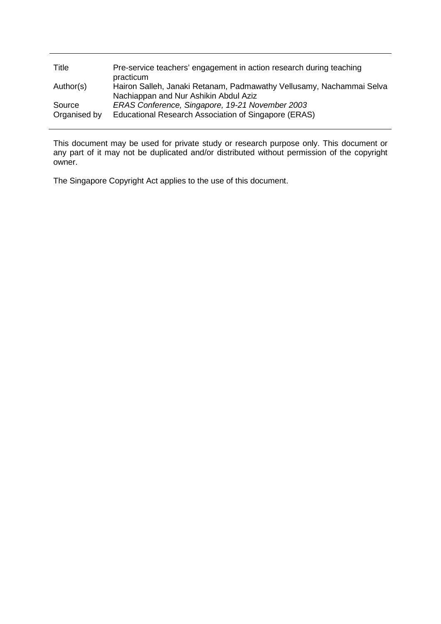| Title                  | Pre-service teachers' engagement in action research during teaching<br>practicum                              |
|------------------------|---------------------------------------------------------------------------------------------------------------|
| Author(s)              | Hairon Salleh, Janaki Retanam, Padmawathy Vellusamy, Nachammai Selva<br>Nachiappan and Nur Ashikin Abdul Aziz |
| Source<br>Organised by | ERAS Conference, Singapore, 19-21 November 2003<br>Educational Research Association of Singapore (ERAS)       |

This document may be used for private study or research purpose only. This document or any part of it may not be duplicated and/or distributed without permission of the copyright owner.

The Singapore Copyright Act applies to the use of this document.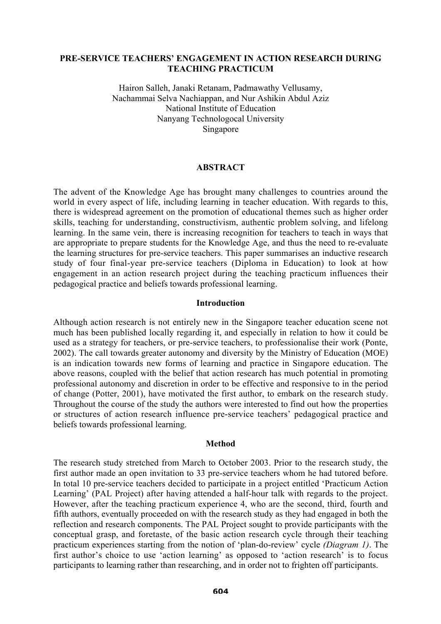## **PRE-SERVICE TEACHERS' ENGAGEMENT IN ACTION RESEARCH DURING TEACHING PRACTICUM**

Hairon Salleh, Janaki Retanam, Padmawathy Vellusamy, Nachammai Selva Nachiappan, and Nur Ashikin Abdul Aziz National Institute of Education Nanyang Technologocal University Singapore

# **ABSTRACT**

The advent of the Knowledge Age has brought many challenges to countries around the world in every aspect of life, including learning in teacher education. With regards to this, there is widespread agreement on the promotion of educational themes such as higher order skills, teaching for understanding, constructivism, authentic problem solving, and lifelong learning. In the same vein, there is increasing recognition for teachers to teach in ways that are appropriate to prepare students for the Knowledge Age, and thus the need to re-evaluate the learning structures for pre-service teachers. This paper summarises an inductive research study of four final-year pre-service teachers (Diploma in Education) to look at how engagement in an action research project during the teaching practicum influences their pedagogical practice and beliefs towards professional learning.

## **Introduction**

Although action research is not entirely new in the Singapore teacher education scene not much has been published locally regarding it, and especially in relation to how it could be used as a strategy for teachers, or pre-service teachers, to professionalise their work (Ponte, 2002). The call towards greater autonomy and diversity by the Ministry of Education (MOE) is an indication towards new forms of learning and practice in Singapore education. The above reasons, coupled with the belief that action research has much potential in promoting professional autonomy and discretion in order to be effective and responsive to in the period of change (Potter, 2001), have motivated the first author, to embark on the research study. Throughout the course of the study the authors were interested to find out how the properties or structures of action research influence pre-service teachers' pedagogical practice and beliefs towards professional learning.

#### **Method**

The research study stretched from March to October 2003. Prior to the research study, the first author made an open invitation to 33 pre-service teachers whom he had tutored before. In total 10 pre-service teachers decided to participate in a project entitled 'Practicum Action Learning' (PAL Project) after having attended a half-hour talk with regards to the project. However, after the teaching practicum experience 4, who are the second, third, fourth and fifth authors, eventually proceeded on with the research study as they had engaged in both the reflection and research components. The PAL Project sought to provide participants with the conceptual grasp, and foretaste, of the basic action research cycle through their teaching practicum experiences starting from the notion of 'plan-do-review' cycle *(Diagram 1)*. The first author's choice to use 'action learning' as opposed to 'action research' is to focus participants to learning rather than researching, and in order not to frighten off participants.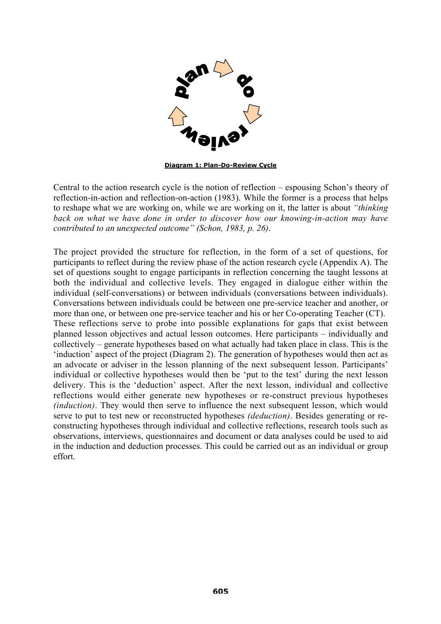

**Diagram 1: Plan-Do-Review Cycle**

Central to the action research cycle is the notion of reflection – espousing Schon's theory of reflection-in-action and reflection-on-action (1983). While the former is a process that helps to reshape what we are working on, while we are working on it, the latter is about *"thinking back on what we have done in order to discover how our knowing-in-action may have contributed to an unexpected outcome" (Schon, 1983, p. 26)*.

The project provided the structure for reflection, in the form of a set of questions, for participants to reflect during the review phase of the action research cycle (Appendix A). The set of questions sought to engage participants in reflection concerning the taught lessons at both the individual and collective levels. They engaged in dialogue either within the individual (self-conversations) or between individuals (conversations between individuals). Conversations between individuals could be between one pre-service teacher and another, or more than one, or between one pre-service teacher and his or her Co-operating Teacher (CT). These reflections serve to probe into possible explanations for gaps that exist between planned lesson objectives and actual lesson outcomes. Here participants – individually and collectively – generate hypotheses based on what actually had taken place in class. This is the 'induction' aspect of the project (Diagram 2). The generation of hypotheses would then act as an advocate or adviser in the lesson planning of the next subsequent lesson. Participants' individual or collective hypotheses would then be 'put to the test' during the next lesson delivery. This is the 'deduction' aspect. After the next lesson, individual and collective reflections would either generate new hypotheses or re-construct previous hypotheses *(induction)*. They would then serve to influence the next subsequent lesson, which would serve to put to test new or reconstructed hypotheses *(deduction)*. Besides generating or reconstructing hypotheses through individual and collective reflections, research tools such as observations, interviews, questionnaires and document or data analyses could be used to aid in the induction and deduction processes. This could be carried out as an individual or group effort.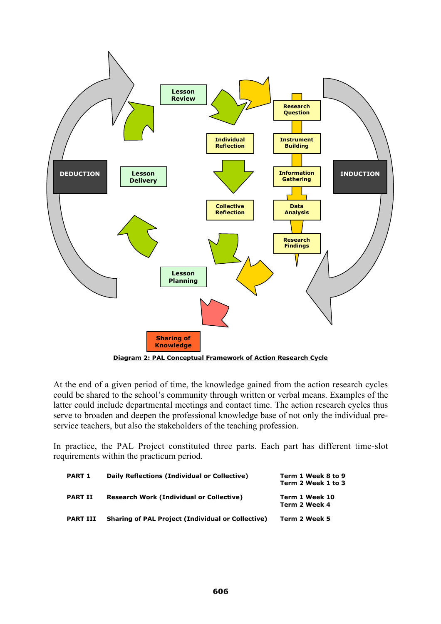

At the end of a given period of time, the knowledge gained from the action research cycles could be shared to the school's community through written or verbal means. Examples of the latter could include departmental meetings and contact time. The action research cycles thus serve to broaden and deepen the professional knowledge base of not only the individual preservice teachers, but also the stakeholders of the teaching profession.

In practice, the PAL Project constituted three parts. Each part has different time-slot requirements within the practicum period.

| <b>PART 1</b>   | Daily Reflections (Individual or Collective)             | Term 1 Week 8 to 9<br>Term 2 Week 1 to 3 |
|-----------------|----------------------------------------------------------|------------------------------------------|
| <b>PART II</b>  | <b>Research Work (Individual or Collective)</b>          | Term 1 Week 10<br>Term 2 Week 4          |
| <b>PART III</b> | <b>Sharing of PAL Project (Individual or Collective)</b> | Term 2 Week 5                            |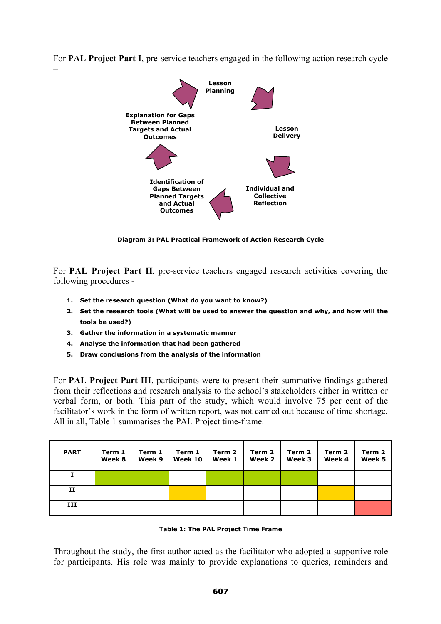For **PAL Project Part I**, pre-service teachers engaged in the following action research cycle



**Diagram 3: PAL Practical Framework of Action Research Cycle**

For **PAL Project Part II**, pre-service teachers engaged research activities covering the following procedures -

- **1. Set the research question (What do you want to know?)**
- **2. Set the research tools (What will be used to answer the question and why, and how will the tools be used?)**
- **3. Gather the information in a systematic manner**

–

- **4. Analyse the information that had been gathered**
- **5. Draw conclusions from the analysis of the information**

For **PAL Project Part III**, participants were to present their summative findings gathered from their reflections and research analysis to the school's stakeholders either in written or verbal form, or both. This part of the study, which would involve 75 per cent of the facilitator's work in the form of written report, was not carried out because of time shortage. All in all, Table 1 summarises the PAL Project time-frame.

| <b>PART</b> | Term 1<br>Week 8 | Term 1<br>Week 9 | Term 1<br>Week 10 | Term 2<br>Week 1 | Term 2<br>Week 2 | Term 2<br>Week 3 | Term 2<br>Week 4 | Term 2<br>Week 5 |
|-------------|------------------|------------------|-------------------|------------------|------------------|------------------|------------------|------------------|
|             |                  |                  |                   |                  |                  |                  |                  |                  |
| п           |                  |                  |                   |                  |                  |                  |                  |                  |
| III         |                  |                  |                   |                  |                  |                  |                  |                  |

# **Table 1: The PAL Project Time Frame**

Throughout the study, the first author acted as the facilitator who adopted a supportive role for participants. His role was mainly to provide explanations to queries, reminders and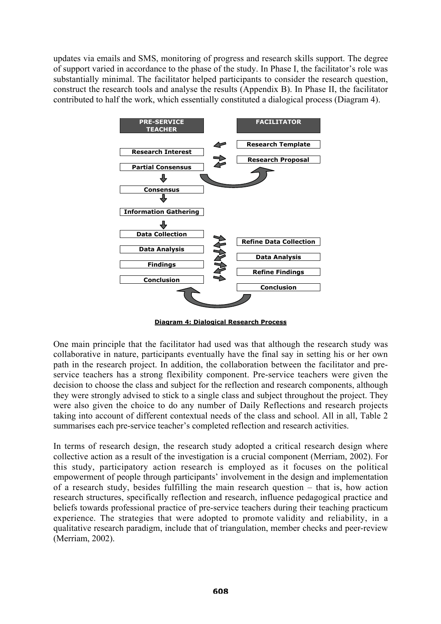updates via emails and SMS, monitoring of progress and research skills support. The degree of support varied in accordance to the phase of the study. In Phase I, the facilitator's role was substantially minimal. The facilitator helped participants to consider the research question, construct the research tools and analyse the results (Appendix B). In Phase II, the facilitator contributed to half the work, which essentially constituted a dialogical process (Diagram 4).



**Diagram 4: Dialogical Research Process**

One main principle that the facilitator had used was that although the research study was collaborative in nature, participants eventually have the final say in setting his or her own path in the research project. In addition, the collaboration between the facilitator and preservice teachers has a strong flexibility component. Pre-service teachers were given the decision to choose the class and subject for the reflection and research components, although they were strongly advised to stick to a single class and subject throughout the project. They were also given the choice to do any number of Daily Reflections and research projects taking into account of different contextual needs of the class and school. All in all, Table 2 summarises each pre-service teacher's completed reflection and research activities.

In terms of research design, the research study adopted a critical research design where collective action as a result of the investigation is a crucial component (Merriam, 2002). For this study, participatory action research is employed as it focuses on the political empowerment of people through participants' involvement in the design and implementation of a research study, besides fulfilling the main research question – that is, how action research structures, specifically reflection and research, influence pedagogical practice and beliefs towards professional practice of pre-service teachers during their teaching practicum experience. The strategies that were adopted to promote validity and reliability, in a qualitative research paradigm, include that of triangulation, member checks and peer-review (Merriam, 2002).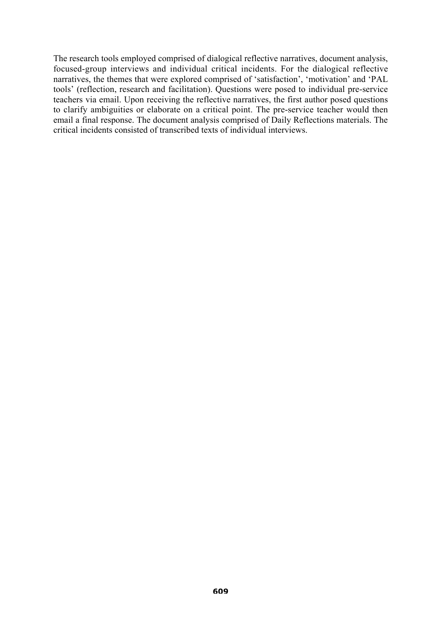The research tools employed comprised of dialogical reflective narratives, document analysis, focused-group interviews and individual critical incidents. For the dialogical reflective narratives, the themes that were explored comprised of 'satisfaction', 'motivation' and 'PAL tools' (reflection, research and facilitation). Questions were posed to individual pre-service teachers via email. Upon receiving the reflective narratives, the first author posed questions to clarify ambiguities or elaborate on a critical point. The pre-service teacher would then email a final response. The document analysis comprised of Daily Reflections materials. The critical incidents consisted of transcribed texts of individual interviews.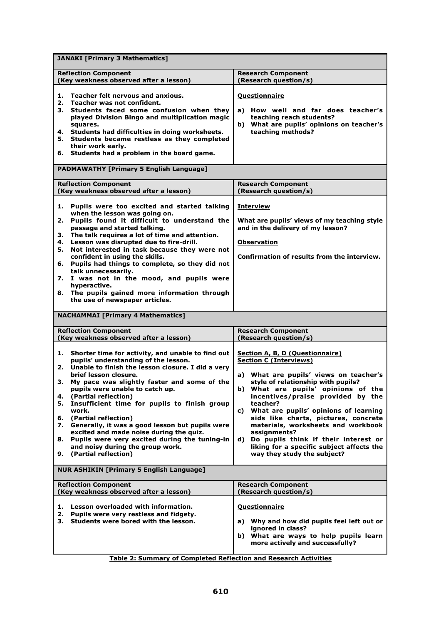| <b>JANAKI [Primary 3 Mathematics]</b>                                                                                                                                                                                                                                                                                                                                                                                                                                                                                                                                                                                               |                                                                                                                                                                                                                                                                                                                                                                                                                                                                                                                        |
|-------------------------------------------------------------------------------------------------------------------------------------------------------------------------------------------------------------------------------------------------------------------------------------------------------------------------------------------------------------------------------------------------------------------------------------------------------------------------------------------------------------------------------------------------------------------------------------------------------------------------------------|------------------------------------------------------------------------------------------------------------------------------------------------------------------------------------------------------------------------------------------------------------------------------------------------------------------------------------------------------------------------------------------------------------------------------------------------------------------------------------------------------------------------|
| <b>Reflection Component</b><br>(Key weakness observed after a lesson)                                                                                                                                                                                                                                                                                                                                                                                                                                                                                                                                                               | <b>Research Component</b><br>(Research question/s)                                                                                                                                                                                                                                                                                                                                                                                                                                                                     |
| Teacher felt nervous and anxious.<br>1.<br>Teacher was not confident.<br>2.<br>3. Students faced some confusion when they<br>played Division Bingo and multiplication magic<br>squares.<br>4. Students had difficulties in doing worksheets.<br>5. Students became restless as they completed<br>their work early.                                                                                                                                                                                                                                                                                                                  | <b>Questionnaire</b><br>How well and far does teacher's<br>a)<br>teaching reach students?<br>b) What are pupils' opinions on teacher's<br>teaching methods?                                                                                                                                                                                                                                                                                                                                                            |
| 6. Students had a problem in the board game.<br><b>PADMAWATHY [Primary 5 English Language]</b>                                                                                                                                                                                                                                                                                                                                                                                                                                                                                                                                      |                                                                                                                                                                                                                                                                                                                                                                                                                                                                                                                        |
|                                                                                                                                                                                                                                                                                                                                                                                                                                                                                                                                                                                                                                     |                                                                                                                                                                                                                                                                                                                                                                                                                                                                                                                        |
| <b>Reflection Component</b><br>(Key weakness observed after a lesson)                                                                                                                                                                                                                                                                                                                                                                                                                                                                                                                                                               | <b>Research Component</b><br>(Research question/s)                                                                                                                                                                                                                                                                                                                                                                                                                                                                     |
| Pupils were too excited and started talking<br>1.<br>when the lesson was going on.<br>Pupils found it difficult to understand the<br>2.<br>passage and started talking.<br>The talk requires a lot of time and attention.<br>з.<br>Lesson was disrupted due to fire-drill.<br>4.<br>Not interested in task because they were not<br>5.<br>confident in using the skills.<br>Pupils had things to complete, so they did not<br>6.<br>talk unnecessarily.<br>I was not in the mood, and pupils were<br>7.<br>hyperactive.<br>8. The pupils gained more information through<br>the use of newspaper articles.                          | <b>Interview</b><br>What are pupils' views of my teaching style<br>and in the delivery of my lesson?<br><b>Observation</b><br>Confirmation of results from the interview.                                                                                                                                                                                                                                                                                                                                              |
| <b>NACHAMMAI [Primary 4 Mathematics]</b>                                                                                                                                                                                                                                                                                                                                                                                                                                                                                                                                                                                            |                                                                                                                                                                                                                                                                                                                                                                                                                                                                                                                        |
| <b>Reflection Component</b><br>(Key weakness observed after a lesson)                                                                                                                                                                                                                                                                                                                                                                                                                                                                                                                                                               | <b>Research Component</b><br>(Research question/s)                                                                                                                                                                                                                                                                                                                                                                                                                                                                     |
| Shorter time for activity, and unable to find out<br>1.<br>pupils' understanding of the lesson.<br>Unable to finish the lesson closure. I did a very<br>2.<br>brief lesson closure.<br>My pace was slightly faster and some of the<br>з.<br>pupils were unable to catch up.<br>(Partial reflection)<br>4.<br>Insufficient time for pupils to finish group<br>5.<br>work.<br>(Partial reflection)<br>6.<br>Generally, it was a good lesson but pupils were<br>7.<br>excited and made noise during the quiz.<br>Pupils were very excited during the tuning-in<br>8.<br>and noisy during the group work.<br>(Partial reflection)<br>9. | <b>Section A, B, D (Questionnaire)</b><br><b>Section C (Interviews)</b><br>a) What are pupils' views on teacher's<br>style of relationship with pupils?<br>b) What are pupils' opinions of the<br>incentives/praise provided by the<br>teacher?<br>What are pupils' opinions of learning<br>c)<br>aids like charts, pictures, concrete<br>materials, worksheets and workbook<br>assignments?<br>Do pupils think if their interest or<br>d)<br>liking for a specific subject affects the<br>way they study the subject? |
| <b>NUR ASHIKIN [Primary 5 English Language]</b>                                                                                                                                                                                                                                                                                                                                                                                                                                                                                                                                                                                     |                                                                                                                                                                                                                                                                                                                                                                                                                                                                                                                        |
| <b>Reflection Component</b><br>(Key weakness observed after a lesson)                                                                                                                                                                                                                                                                                                                                                                                                                                                                                                                                                               | <b>Research Component</b><br>(Research question/s)                                                                                                                                                                                                                                                                                                                                                                                                                                                                     |
| Lesson overloaded with information.<br>1.<br>2.<br>Pupils were very restless and fidgety.<br>Students were bored with the lesson.<br>З.                                                                                                                                                                                                                                                                                                                                                                                                                                                                                             | <b>Questionnaire</b><br>a) Why and how did pupils feel left out or<br>ignored in class?<br>b) What are ways to help pupils learn<br>more actively and successfully?                                                                                                                                                                                                                                                                                                                                                    |

**Table 2: Summary of Completed Reflection and Research Activities**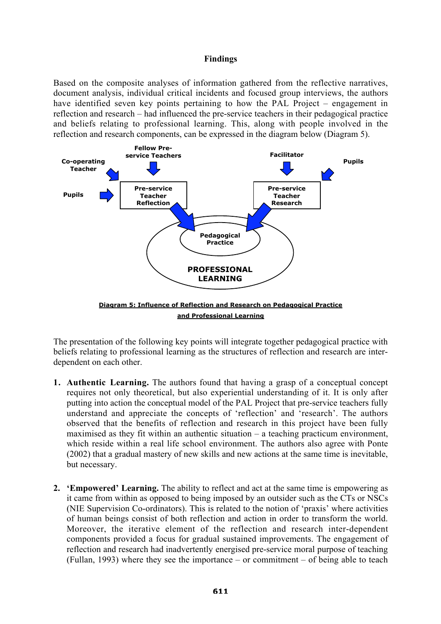## **Findings**

Based on the composite analyses of information gathered from the reflective narratives, document analysis, individual critical incidents and focused group interviews, the authors have identified seven key points pertaining to how the PAL Project – engagement in reflection and research – had influenced the pre-service teachers in their pedagogical practice and beliefs relating to professional learning. This, along with people involved in the reflection and research components, can be expressed in the diagram below (Diagram 5).



The presentation of the following key points will integrate together pedagogical practice with beliefs relating to professional learning as the structures of reflection and research are interdependent on each other.

- **1. Authentic Learning.** The authors found that having a grasp of a conceptual concept requires not only theoretical, but also experiential understanding of it. It is only after putting into action the conceptual model of the PAL Project that pre-service teachers fully understand and appreciate the concepts of 'reflection' and 'research'. The authors observed that the benefits of reflection and research in this project have been fully maximised as they fit within an authentic situation – a teaching practicum environment, which reside within a real life school environment. The authors also agree with Ponte (2002) that a gradual mastery of new skills and new actions at the same time is inevitable, but necessary.
- **2. 'Empowered' Learning.** The ability to reflect and act at the same time is empowering as it came from within as opposed to being imposed by an outsider such as the CTs or NSCs (NIE Supervision Co-ordinators). This is related to the notion of 'praxis' where activities of human beings consist of both reflection and action in order to transform the world. Moreover, the iterative element of the reflection and research inter-dependent components provided a focus for gradual sustained improvements. The engagement of reflection and research had inadvertently energised pre-service moral purpose of teaching (Fullan, 1993) where they see the importance – or commitment – of being able to teach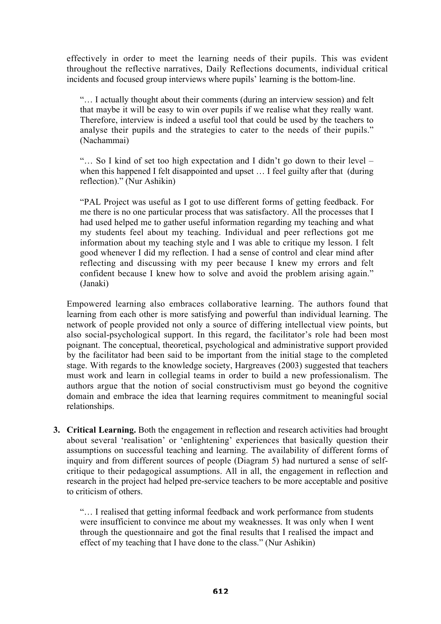effectively in order to meet the learning needs of their pupils. This was evident throughout the reflective narratives, Daily Reflections documents, individual critical incidents and focused group interviews where pupils' learning is the bottom-line.

"… I actually thought about their comments (during an interview session) and felt that maybe it will be easy to win over pupils if we realise what they really want. Therefore, interview is indeed a useful tool that could be used by the teachers to analyse their pupils and the strategies to cater to the needs of their pupils." (Nachammai)

"… So I kind of set too high expectation and I didn't go down to their level – when this happened I felt disappointed and upset ... I feel guilty after that (during reflection)." (Nur Ashikin)

"PAL Project was useful as I got to use different forms of getting feedback. For me there is no one particular process that was satisfactory. All the processes that I had used helped me to gather useful information regarding my teaching and what my students feel about my teaching. Individual and peer reflections got me information about my teaching style and I was able to critique my lesson. I felt good whenever I did my reflection. I had a sense of control and clear mind after reflecting and discussing with my peer because I knew my errors and felt confident because I knew how to solve and avoid the problem arising again." (Janaki)

Empowered learning also embraces collaborative learning. The authors found that learning from each other is more satisfying and powerful than individual learning. The network of people provided not only a source of differing intellectual view points, but also social-psychological support. In this regard, the facilitator's role had been most poignant. The conceptual, theoretical, psychological and administrative support provided by the facilitator had been said to be important from the initial stage to the completed stage. With regards to the knowledge society, Hargreaves (2003) suggested that teachers must work and learn in collegial teams in order to build a new professionalism. The authors argue that the notion of social constructivism must go beyond the cognitive domain and embrace the idea that learning requires commitment to meaningful social relationships.

**3. Critical Learning.** Both the engagement in reflection and research activities had brought about several 'realisation' or 'enlightening' experiences that basically question their assumptions on successful teaching and learning. The availability of different forms of inquiry and from different sources of people (Diagram 5) had nurtured a sense of selfcritique to their pedagogical assumptions. All in all, the engagement in reflection and research in the project had helped pre-service teachers to be more acceptable and positive to criticism of others.

"… I realised that getting informal feedback and work performance from students were insufficient to convince me about my weaknesses. It was only when I went through the questionnaire and got the final results that I realised the impact and effect of my teaching that I have done to the class." (Nur Ashikin)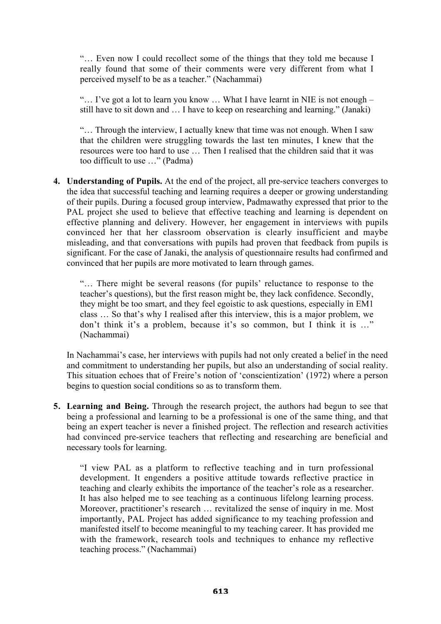"… Even now I could recollect some of the things that they told me because I really found that some of their comments were very different from what I perceived myself to be as a teacher." (Nachammai)

" $\ldots$  I've got a lot to learn you know  $\ldots$  What I have learnt in NIE is not enough – still have to sit down and … I have to keep on researching and learning." (Janaki)

"… Through the interview, I actually knew that time was not enough. When I saw that the children were struggling towards the last ten minutes, I knew that the resources were too hard to use … Then I realised that the children said that it was too difficult to use …" (Padma)

**4. Understanding of Pupils.** At the end of the project, all pre-service teachers converges to the idea that successful teaching and learning requires a deeper or growing understanding of their pupils. During a focused group interview, Padmawathy expressed that prior to the PAL project she used to believe that effective teaching and learning is dependent on effective planning and delivery. However, her engagement in interviews with pupils convinced her that her classroom observation is clearly insufficient and maybe misleading, and that conversations with pupils had proven that feedback from pupils is significant. For the case of Janaki, the analysis of questionnaire results had confirmed and convinced that her pupils are more motivated to learn through games.

"… There might be several reasons (for pupils' reluctance to response to the teacher's questions), but the first reason might be, they lack confidence. Secondly, they might be too smart, and they feel egoistic to ask questions, especially in EM1 class … So that's why I realised after this interview, this is a major problem, we don't think it's a problem, because it's so common, but I think it is …" (Nachammai)

In Nachammai's case, her interviews with pupils had not only created a belief in the need and commitment to understanding her pupils, but also an understanding of social reality. This situation echoes that of Freire's notion of 'conscientization' (1972) where a person begins to question social conditions so as to transform them.

**5. Learning and Being.** Through the research project, the authors had begun to see that being a professional and learning to be a professional is one of the same thing, and that being an expert teacher is never a finished project. The reflection and research activities had convinced pre-service teachers that reflecting and researching are beneficial and necessary tools for learning.

"I view PAL as a platform to reflective teaching and in turn professional development. It engenders a positive attitude towards reflective practice in teaching and clearly exhibits the importance of the teacher's role as a researcher. It has also helped me to see teaching as a continuous lifelong learning process. Moreover, practitioner's research … revitalized the sense of inquiry in me. Most importantly, PAL Project has added significance to my teaching profession and manifested itself to become meaningful to my teaching career. It has provided me with the framework, research tools and techniques to enhance my reflective teaching process." (Nachammai)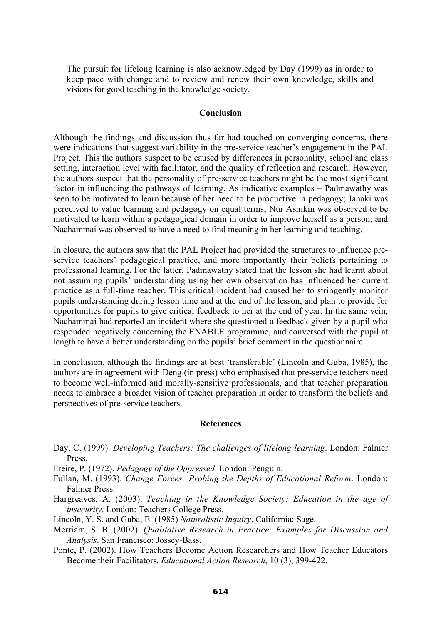The pursuit for lifelong learning is also acknowledged by Day (1999) as in order to keep pace with change and to review and renew their own knowledge, skills and visions for good teaching in the knowledge society.

## **Conclusion**

Although the findings and discussion thus far had touched on converging concerns, there were indications that suggest variability in the pre-service teacher's engagement in the PAL Project. This the authors suspect to be caused by differences in personality, school and class setting, interaction level with facilitator, and the quality of reflection and research. However, the authors suspect that the personality of pre-service teachers might be the most significant factor in influencing the pathways of learning. As indicative examples – Padmawathy was seen to be motivated to learn because of her need to be productive in pedagogy; Janaki was perceived to value learning and pedagogy on equal terms; Nur Ashikin was observed to be motivated to learn within a pedagogical domain in order to improve herself as a person; and Nachammai was observed to have a need to find meaning in her learning and teaching.

In closure, the authors saw that the PAL Project had provided the structures to influence preservice teachers' pedagogical practice, and more importantly their beliefs pertaining to professional learning. For the latter, Padmawathy stated that the lesson she had learnt about not assuming pupils' understanding using her own observation has influenced her current practice as a full-time teacher. This critical incident had caused her to stringently monitor pupils understanding during lesson time and at the end of the lesson, and plan to provide for opportunities for pupils to give critical feedback to her at the end of year. In the same vein, Nachammai had reported an incident where she questioned a feedback given by a pupil who responded negatively concerning the ENABLE programme, and conversed with the pupil at length to have a better understanding on the pupils' brief comment in the questionnaire.

In conclusion, although the findings are at best 'transferable' (Lincoln and Guba, 1985), the authors are in agreement with Deng (in press) who emphasised that pre-service teachers need to become well-informed and morally-sensitive professionals, and that teacher preparation needs to embrace a broader vision of teacher preparation in order to transform the beliefs and perspectives of pre-service teachers.

#### **References**

- Day, C. (1999). *Developing Teachers: The challenges of lifelong learning*. London: Falmer Press.
- Freire, P. (1972). *Pedagogy of the Oppressed*. London: Penguin.
- Fullan, M. (1993). *Change Forces: Probing the Depths of Educational Reform*. London: Falmer Press.
- Hargreaves, A. (2003). *Teaching in the Knowledge Society: Education in the age of insecurity*. London: Teachers College Press.
- Lincoln, Y. S. and Guba, E. (1985) *Naturalistic Inquiry*, California: Sage.
- Merriam, S. B. (2002). *Qualitative Research in Practice: Examples for Discussion and Analysis*. San Francisco: Jossey-Bass.
- Ponte, P. (2002). How Teachers Become Action Researchers and How Teacher Educators Become their Facilitators. *Educational Action Research*, 10 (3), 399-422.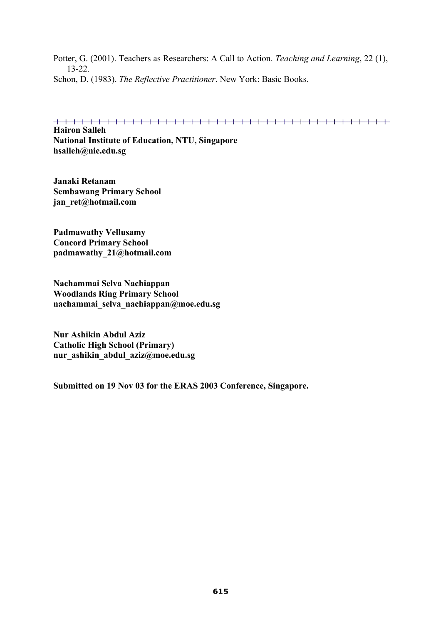Potter, G. (2001). Teachers as Researchers: A Call to Action. *Teaching and Learning*, 22 (1), 13-22. Schon, D. (1983). *The Reflective Practitioner*. New York: Basic Books.

**Hairon Salleh National Institute of Education, NTU, Singapore hsalleh@nie.edu.sg**

**Janaki Retanam Sembawang Primary School jan\_ret@hotmail.com**

**Padmawathy Vellusamy Concord Primary School padmawathy\_21@hotmail.com**

**Nachammai Selva Nachiappan Woodlands Ring Primary School nachammai\_selva\_nachiappan@moe.edu.sg**

**Nur Ashikin Abdul Aziz Catholic High School (Primary) nur\_ashikin\_abdul\_aziz@moe.edu.sg**

**Submitted on 19 Nov 03 for the ERAS 2003 Conference, Singapore.**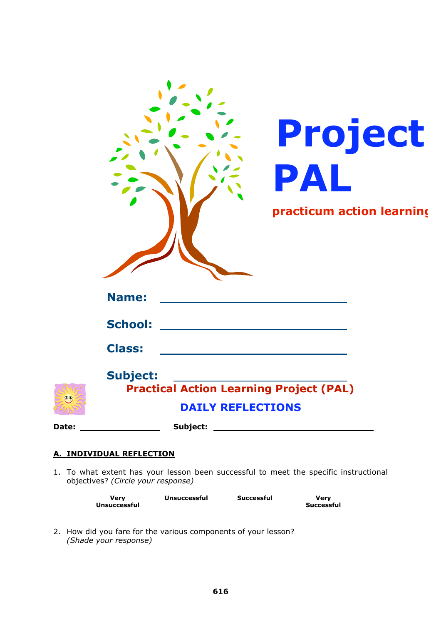|                    | Project<br>PAL<br>practicum action learning                                                   |
|--------------------|-----------------------------------------------------------------------------------------------|
|                    | <b>Name:</b>                                                                                  |
|                    | <b>School:</b>                                                                                |
|                    | <b>Class:</b>                                                                                 |
| $=$ $\circledcirc$ | <b>Subject:</b><br><b>Practical Action Learning Project (PAL)</b><br><b>DAILY REFLECTIONS</b> |
|                    |                                                                                               |
|                    | <u>A. INDIVIDUAL REFLECTION</u>                                                               |

1. To what extent has your lesson been successful to meet the specific instructional objectives? *(Circle your response)*

| Verv                | <b>Unsuccessful</b> | Successful | Verv       |
|---------------------|---------------------|------------|------------|
| <b>Unsuccessful</b> |                     |            | Successful |

2. How did you fare for the various components of your lesson? *(Shade your response)*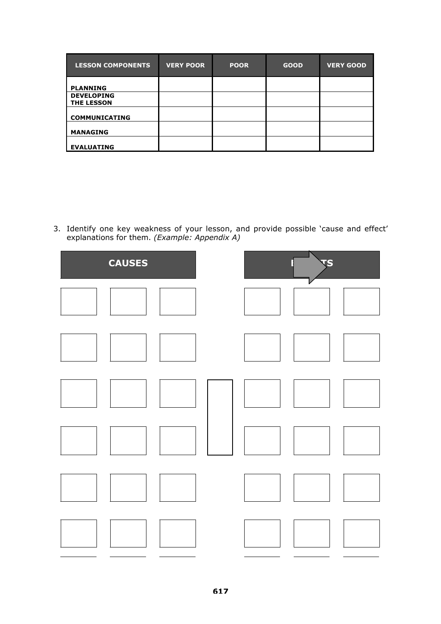| <b>LESSON COMPONENTS</b>               | <b>VERY POOR</b> | <b>POOR</b> | <b>GOOD</b> | <b>VERY GOOD</b> |
|----------------------------------------|------------------|-------------|-------------|------------------|
| <b>PLANNING</b>                        |                  |             |             |                  |
| <b>DEVELOPING</b><br><b>THE LESSON</b> |                  |             |             |                  |
| <b>COMMUNICATING</b>                   |                  |             |             |                  |
| <b>MANAGING</b>                        |                  |             |             |                  |
| <b>EVALUATING</b>                      |                  |             |             |                  |

3. Identify one key weakness of your lesson, and provide possible 'cause and effect' explanations for them. *(Example: Appendix A)*

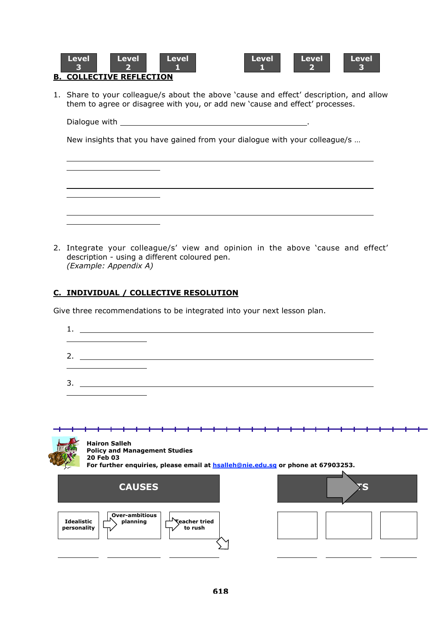

<u> 1990 - Johann Barbara, martin a</u>



# **B. COLLECTIVE REFLECTION**

1. Share to your colleague/s about the above 'cause and effect' description, and allow them to agree or disagree with you, or add new 'cause and effect' processes.

Dialogue with .

New insights that you have gained from your dialogue with your colleague/s …

2. Integrate your colleague/s' view and opinion in the above 'cause and effect' description - using a different coloured pen. *(Example: Appendix A)*

# **C. INDIVIDUAL / COLLECTIVE RESOLUTION**

Give three recommendations to be integrated into your next lesson plan.

| the contract of the contract of the contract of the contract of the contract of                                             | 2. $\qquad \qquad$ |  |
|-----------------------------------------------------------------------------------------------------------------------------|--------------------|--|
| <u> Louis Communication de la communication de la communication de la communication de la communication de la com</u><br>3. |                    |  |

|                                  | <b>Hairon Salleh</b><br><b>Policy and Management Studies</b><br>20 Feb 03<br>For further enquiries, please email at <b>hsalleh@nie.edu.sq</b> or phone at 67903253. |                       |               |  |                                 |  |  |  |  |  |  |  |  |  |
|----------------------------------|---------------------------------------------------------------------------------------------------------------------------------------------------------------------|-----------------------|---------------|--|---------------------------------|--|--|--|--|--|--|--|--|--|
|                                  |                                                                                                                                                                     |                       | <b>CAUSES</b> |  |                                 |  |  |  |  |  |  |  |  |  |
| <b>Idealistic</b><br>personality |                                                                                                                                                                     | <b>Over-ambitious</b> | planning      |  | <b>Ceacher tried</b><br>to rush |  |  |  |  |  |  |  |  |  |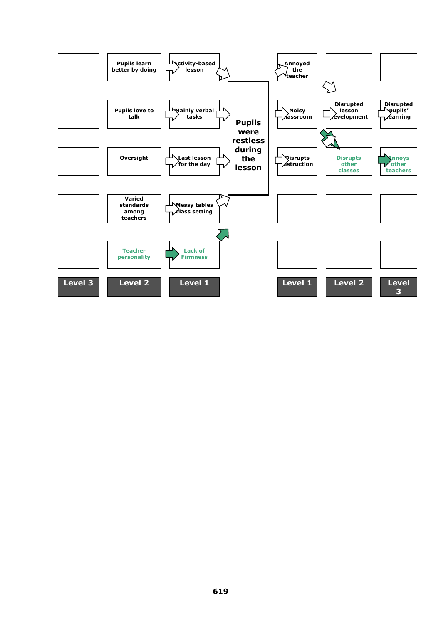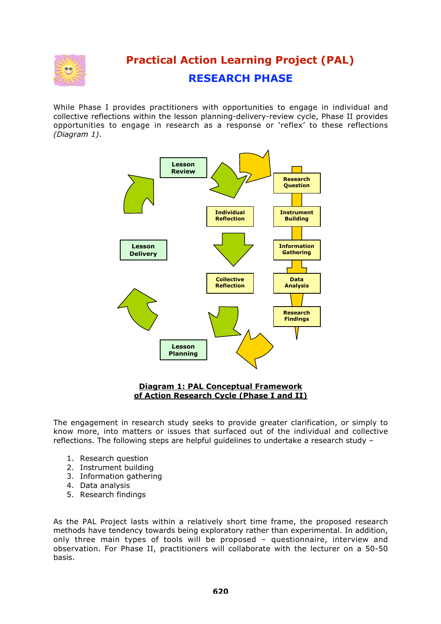

# **Practical Action Learning Project (PAL) RESEARCH PHASE**

While Phase I provides practitioners with opportunities to engage in individual and collective reflections within the lesson planning-delivery-review cycle, Phase II provides opportunities to engage in research as a response or 'reflex' to these reflections *(Diagram 1)*.



## **Diagram 1: PAL Conceptual Framework of Action Research Cycle (Phase I and II)**

The engagement in research study seeks to provide greater clarification, or simply to know more, into matters or issues that surfaced out of the individual and collective reflections. The following steps are helpful guidelines to undertake a research study –

- 1. Research question
- 2. Instrument building
- 3. Information gathering
- 4. Data analysis
- 5. Research findings

As the PAL Project lasts within a relatively short time frame, the proposed research methods have tendency towards being exploratory rather than experimental. In addition, only three main types of tools will be proposed – questionnaire, interview and observation. For Phase II, practitioners will collaborate with the lecturer on a 50-50 basis.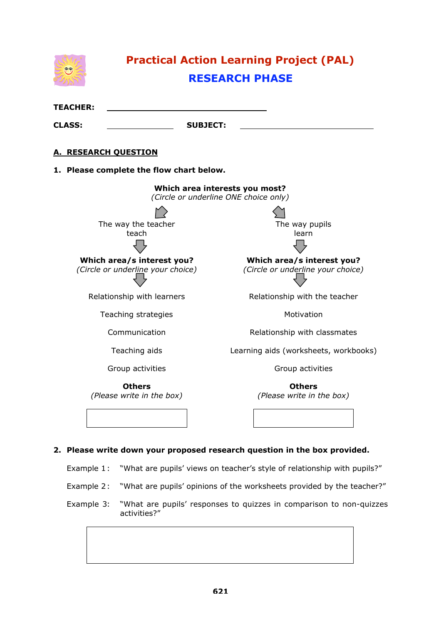

- Example 1: "What are pupils' views on teacher's style of relationship with pupils?"
- Example 2: "What are pupils' opinions of the worksheets provided by the teacher?"
- Example 3: "What are pupils' responses to quizzes in comparison to non-quizzes activities?"